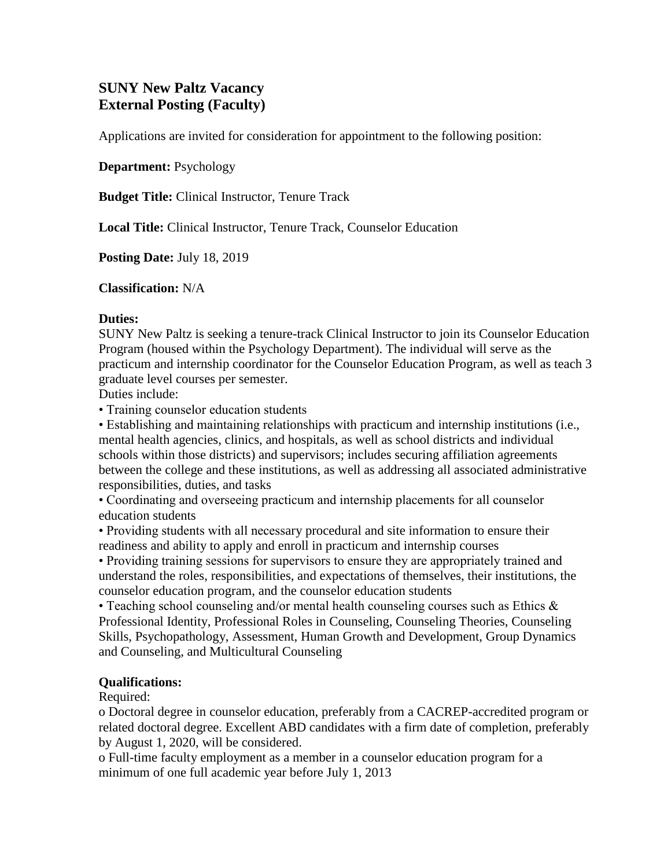# **SUNY New Paltz Vacancy External Posting (Faculty)**

Applications are invited for consideration for appointment to the following position:

**Department:** Psychology

**Budget Title:** Clinical Instructor, Tenure Track

**Local Title:** Clinical Instructor, Tenure Track, Counselor Education

**Posting Date:** July 18, 2019

**Classification:** N/A

#### **Duties:**

SUNY New Paltz is seeking a tenure-track Clinical Instructor to join its Counselor Education Program (housed within the Psychology Department). The individual will serve as the practicum and internship coordinator for the Counselor Education Program, as well as teach 3 graduate level courses per semester.

Duties include:

• Training counselor education students

• Establishing and maintaining relationships with practicum and internship institutions (i.e., mental health agencies, clinics, and hospitals, as well as school districts and individual schools within those districts) and supervisors; includes securing affiliation agreements between the college and these institutions, as well as addressing all associated administrative responsibilities, duties, and tasks

• Coordinating and overseeing practicum and internship placements for all counselor education students

• Providing students with all necessary procedural and site information to ensure their readiness and ability to apply and enroll in practicum and internship courses

• Providing training sessions for supervisors to ensure they are appropriately trained and understand the roles, responsibilities, and expectations of themselves, their institutions, the counselor education program, and the counselor education students

• Teaching school counseling and/or mental health counseling courses such as Ethics & Professional Identity, Professional Roles in Counseling, Counseling Theories, Counseling Skills, Psychopathology, Assessment, Human Growth and Development, Group Dynamics and Counseling, and Multicultural Counseling

# **Qualifications:**

Required:

o Doctoral degree in counselor education, preferably from a CACREP-accredited program or related doctoral degree. Excellent ABD candidates with a firm date of completion, preferably by August 1, 2020, will be considered.

o Full-time faculty employment as a member in a counselor education program for a minimum of one full academic year before July 1, 2013